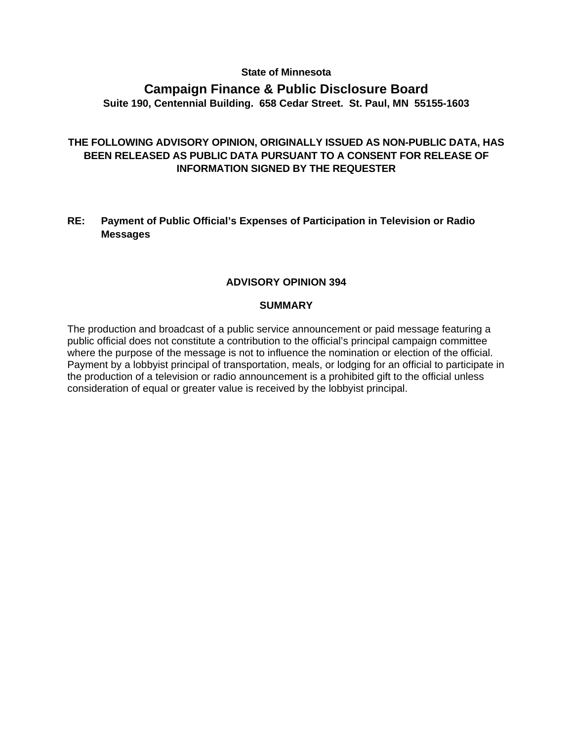## **State of Minnesota**

# **Campaign Finance & Public Disclosure Board Suite 190, Centennial Building. 658 Cedar Street. St. Paul, MN 55155-1603**

# **THE FOLLOWING ADVISORY OPINION, ORIGINALLY ISSUED AS NON-PUBLIC DATA, HAS BEEN RELEASED AS PUBLIC DATA PURSUANT TO A CONSENT FOR RELEASE OF INFORMATION SIGNED BY THE REQUESTER**

## **RE: Payment of Public Official's Expenses of Participation in Television or Radio Messages**

## **ADVISORY OPINION 394**

#### **SUMMARY**

The production and broadcast of a public service announcement or paid message featuring a public official does not constitute a contribution to the official's principal campaign committee where the purpose of the message is not to influence the nomination or election of the official. Payment by a lobbyist principal of transportation, meals, or lodging for an official to participate in the production of a television or radio announcement is a prohibited gift to the official unless consideration of equal or greater value is received by the lobbyist principal.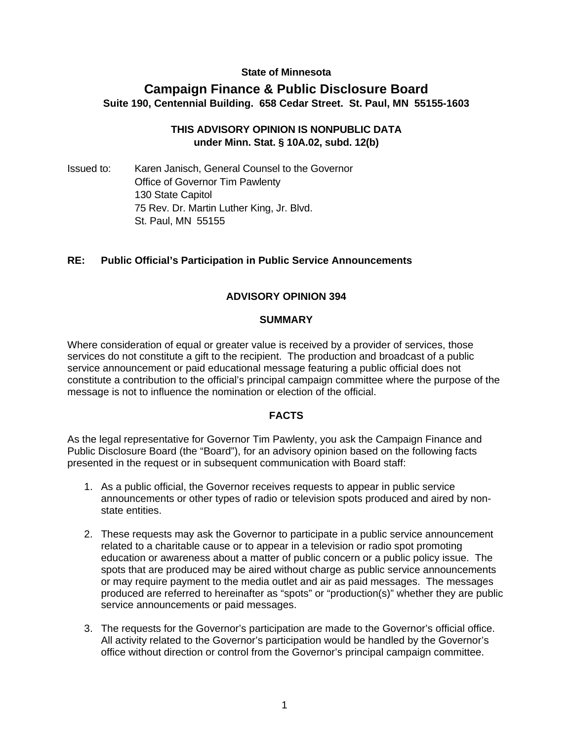## **State of Minnesota**

# **Campaign Finance & Public Disclosure Board Suite 190, Centennial Building. 658 Cedar Street. St. Paul, MN 55155-1603**

## **THIS ADVISORY OPINION IS NONPUBLIC DATA under Minn. Stat. § 10A.02, subd. 12(b)**

Issued to: Karen Janisch, General Counsel to the Governor Office of Governor Tim Pawlenty 130 State Capitol 75 Rev. Dr. Martin Luther King, Jr. Blvd. St. Paul, MN 55155

## **RE: Public Official's Participation in Public Service Announcements**

## **ADVISORY OPINION 394**

#### **SUMMARY**

Where consideration of equal or greater value is received by a provider of services, those services do not constitute a gift to the recipient. The production and broadcast of a public service announcement or paid educational message featuring a public official does not constitute a contribution to the official's principal campaign committee where the purpose of the message is not to influence the nomination or election of the official.

#### **FACTS**

As the legal representative for Governor Tim Pawlenty, you ask the Campaign Finance and Public Disclosure Board (the "Board"), for an advisory opinion based on the following facts presented in the request or in subsequent communication with Board staff:

- 1. As a public official, the Governor receives requests to appear in public service announcements or other types of radio or television spots produced and aired by nonstate entities.
- 2. These requests may ask the Governor to participate in a public service announcement related to a charitable cause or to appear in a television or radio spot promoting education or awareness about a matter of public concern or a public policy issue. The spots that are produced may be aired without charge as public service announcements or may require payment to the media outlet and air as paid messages. The messages produced are referred to hereinafter as "spots" or "production(s)" whether they are public service announcements or paid messages.
- 3. The requests for the Governor's participation are made to the Governor's official office. All activity related to the Governor's participation would be handled by the Governor's office without direction or control from the Governor's principal campaign committee.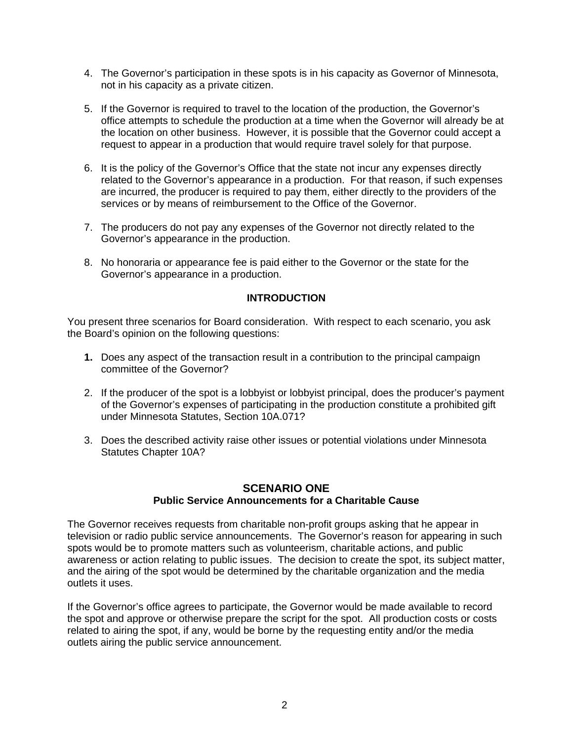- 4. The Governor's participation in these spots is in his capacity as Governor of Minnesota, not in his capacity as a private citizen.
- 5. If the Governor is required to travel to the location of the production, the Governor's office attempts to schedule the production at a time when the Governor will already be at the location on other business. However, it is possible that the Governor could accept a request to appear in a production that would require travel solely for that purpose.
- 6. It is the policy of the Governor's Office that the state not incur any expenses directly related to the Governor's appearance in a production. For that reason, if such expenses are incurred, the producer is required to pay them, either directly to the providers of the services or by means of reimbursement to the Office of the Governor.
- 7. The producers do not pay any expenses of the Governor not directly related to the Governor's appearance in the production.
- 8. No honoraria or appearance fee is paid either to the Governor or the state for the Governor's appearance in a production.

## **INTRODUCTION**

You present three scenarios for Board consideration. With respect to each scenario, you ask the Board's opinion on the following questions:

- **1.** Does any aspect of the transaction result in a contribution to the principal campaign committee of the Governor?
- 2. If the producer of the spot is a lobbyist or lobbyist principal, does the producer's payment of the Governor's expenses of participating in the production constitute a prohibited gift under Minnesota Statutes, Section 10A.071?
- 3. Does the described activity raise other issues or potential violations under Minnesota Statutes Chapter 10A?

# **SCENARIO ONE Public Service Announcements for a Charitable Cause**

The Governor receives requests from charitable non-profit groups asking that he appear in television or radio public service announcements. The Governor's reason for appearing in such spots would be to promote matters such as volunteerism, charitable actions, and public awareness or action relating to public issues. The decision to create the spot, its subject matter, and the airing of the spot would be determined by the charitable organization and the media outlets it uses.

If the Governor's office agrees to participate, the Governor would be made available to record the spot and approve or otherwise prepare the script for the spot. All production costs or costs related to airing the spot, if any, would be borne by the requesting entity and/or the media outlets airing the public service announcement.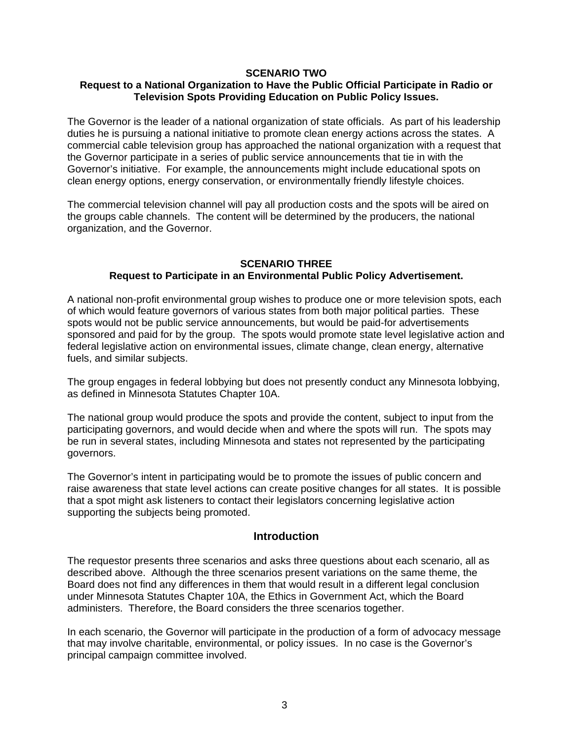#### **SCENARIO TWO**

## **Request to a National Organization to Have the Public Official Participate in Radio or Television Spots Providing Education on Public Policy Issues.**

The Governor is the leader of a national organization of state officials. As part of his leadership duties he is pursuing a national initiative to promote clean energy actions across the states. A commercial cable television group has approached the national organization with a request that the Governor participate in a series of public service announcements that tie in with the Governor's initiative. For example, the announcements might include educational spots on clean energy options, energy conservation, or environmentally friendly lifestyle choices.

The commercial television channel will pay all production costs and the spots will be aired on the groups cable channels. The content will be determined by the producers, the national organization, and the Governor.

#### **SCENARIO THREE Request to Participate in an Environmental Public Policy Advertisement.**

A national non-profit environmental group wishes to produce one or more television spots, each of which would feature governors of various states from both major political parties. These spots would not be public service announcements, but would be paid-for advertisements sponsored and paid for by the group. The spots would promote state level legislative action and federal legislative action on environmental issues, climate change, clean energy, alternative fuels, and similar subjects.

The group engages in federal lobbying but does not presently conduct any Minnesota lobbying, as defined in Minnesota Statutes Chapter 10A.

The national group would produce the spots and provide the content, subject to input from the participating governors, and would decide when and where the spots will run. The spots may be run in several states, including Minnesota and states not represented by the participating governors.

The Governor's intent in participating would be to promote the issues of public concern and raise awareness that state level actions can create positive changes for all states. It is possible that a spot might ask listeners to contact their legislators concerning legislative action supporting the subjects being promoted.

## **Introduction**

The requestor presents three scenarios and asks three questions about each scenario, all as described above. Although the three scenarios present variations on the same theme, the Board does not find any differences in them that would result in a different legal conclusion under Minnesota Statutes Chapter 10A, the Ethics in Government Act, which the Board administers. Therefore, the Board considers the three scenarios together.

In each scenario, the Governor will participate in the production of a form of advocacy message that may involve charitable, environmental, or policy issues. In no case is the Governor's principal campaign committee involved.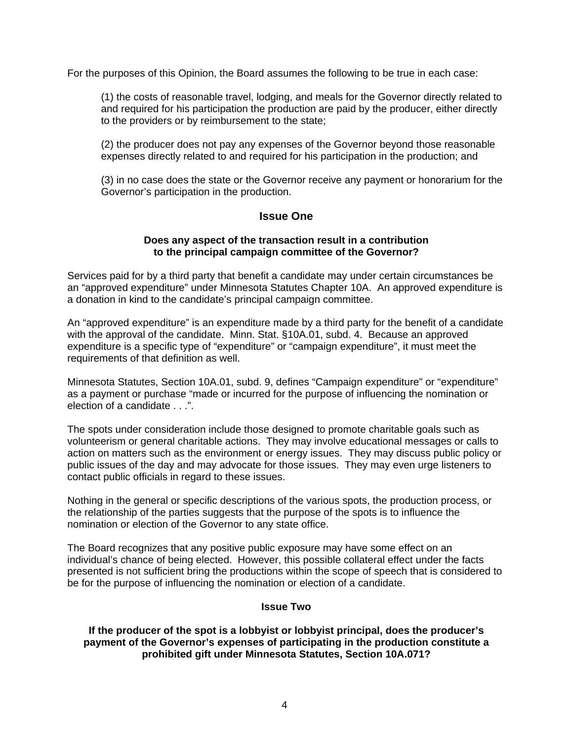For the purposes of this Opinion, the Board assumes the following to be true in each case:

(1) the costs of reasonable travel, lodging, and meals for the Governor directly related to and required for his participation the production are paid by the producer, either directly to the providers or by reimbursement to the state;

(2) the producer does not pay any expenses of the Governor beyond those reasonable expenses directly related to and required for his participation in the production; and

(3) in no case does the state or the Governor receive any payment or honorarium for the Governor's participation in the production.

## **Issue One**

## **Does any aspect of the transaction result in a contribution to the principal campaign committee of the Governor?**

Services paid for by a third party that benefit a candidate may under certain circumstances be an "approved expenditure" under Minnesota Statutes Chapter 10A. An approved expenditure is a donation in kind to the candidate's principal campaign committee.

An "approved expenditure" is an expenditure made by a third party for the benefit of a candidate with the approval of the candidate. Minn. Stat. §10A.01, subd. 4. Because an approved expenditure is a specific type of "expenditure" or "campaign expenditure", it must meet the requirements of that definition as well.

Minnesota Statutes, Section 10A.01, subd. 9, defines "Campaign expenditure" or "expenditure" as a payment or purchase "made or incurred for the purpose of influencing the nomination or election of a candidate . . .".

The spots under consideration include those designed to promote charitable goals such as volunteerism or general charitable actions. They may involve educational messages or calls to action on matters such as the environment or energy issues. They may discuss public policy or public issues of the day and may advocate for those issues. They may even urge listeners to contact public officials in regard to these issues.

Nothing in the general or specific descriptions of the various spots, the production process, or the relationship of the parties suggests that the purpose of the spots is to influence the nomination or election of the Governor to any state office.

The Board recognizes that any positive public exposure may have some effect on an individual's chance of being elected. However, this possible collateral effect under the facts presented is not sufficient bring the productions within the scope of speech that is considered to be for the purpose of influencing the nomination or election of a candidate.

#### **Issue Two**

**If the producer of the spot is a lobbyist or lobbyist principal, does the producer's payment of the Governor's expenses of participating in the production constitute a prohibited gift under Minnesota Statutes, Section 10A.071?**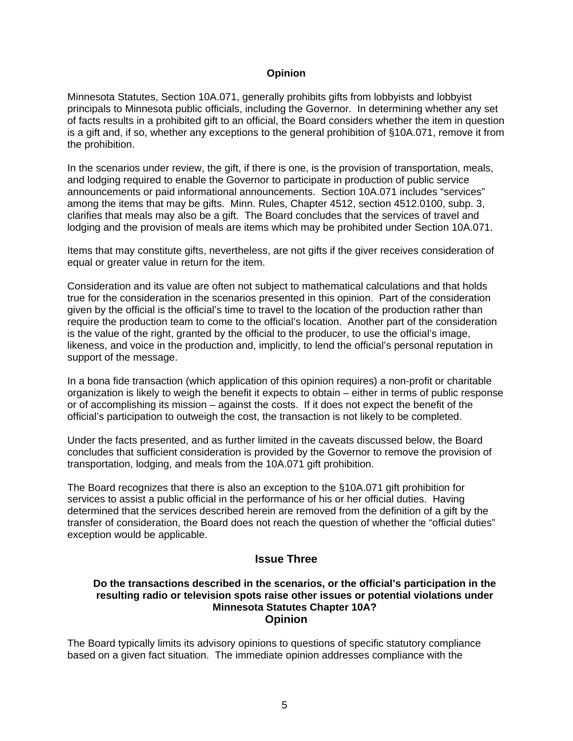#### **Opinion**

Minnesota Statutes, Section 10A.071, generally prohibits gifts from lobbyists and lobbyist principals to Minnesota public officials, including the Governor. In determining whether any set of facts results in a prohibited gift to an official, the Board considers whether the item in question is a gift and, if so, whether any exceptions to the general prohibition of §10A.071, remove it from the prohibition.

In the scenarios under review, the gift, if there is one, is the provision of transportation, meals, and lodging required to enable the Governor to participate in production of public service announcements or paid informational announcements. Section 10A.071 includes "services" among the items that may be gifts. Minn. Rules, Chapter 4512, section 4512.0100, subp. 3, clarifies that meals may also be a gift. The Board concludes that the services of travel and lodging and the provision of meals are items which may be prohibited under Section 10A.071.

Items that may constitute gifts, nevertheless, are not gifts if the giver receives consideration of equal or greater value in return for the item.

Consideration and its value are often not subject to mathematical calculations and that holds true for the consideration in the scenarios presented in this opinion. Part of the consideration given by the official is the official's time to travel to the location of the production rather than require the production team to come to the official's location. Another part of the consideration is the value of the right, granted by the official to the producer, to use the official's image, likeness, and voice in the production and, implicitly, to lend the official's personal reputation in support of the message.

In a bona fide transaction (which application of this opinion requires) a non-profit or charitable organization is likely to weigh the benefit it expects to obtain – either in terms of public response or of accomplishing its mission – against the costs. If it does not expect the benefit of the official's participation to outweigh the cost, the transaction is not likely to be completed.

Under the facts presented, and as further limited in the caveats discussed below, the Board concludes that sufficient consideration is provided by the Governor to remove the provision of transportation, lodging, and meals from the 10A.071 gift prohibition.

The Board recognizes that there is also an exception to the §10A.071 gift prohibition for services to assist a public official in the performance of his or her official duties. Having determined that the services described herein are removed from the definition of a gift by the transfer of consideration, the Board does not reach the question of whether the "official duties" exception would be applicable.

## **Issue Three**

#### **Do the transactions described in the scenarios, or the official's participation in the resulting radio or television spots raise other issues or potential violations under Minnesota Statutes Chapter 10A? Opinion**

The Board typically limits its advisory opinions to questions of specific statutory compliance based on a given fact situation. The immediate opinion addresses compliance with the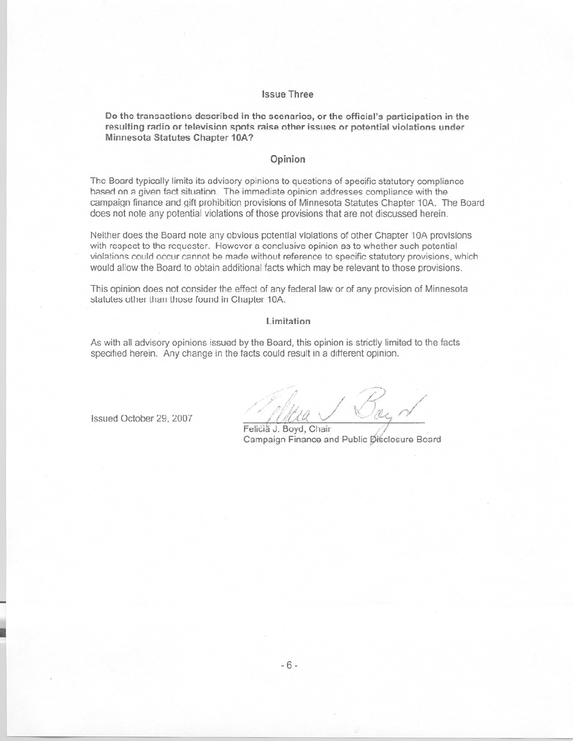#### **Issue Three**

Do the transactions described in the scenarios, or the official's participation in the resulting radio or television spots raise other issues or potential violations under Minnesota Statutes Chapter 10A?

#### Opinion

The Board typically limits its advisory opinions to questions of specific statutory compliance based on a given fact situation. The immediate opinion addresses compliance with the campaign finance and gift prohibition provisions of Minnesota Statutes Chapter 10A. The Board does not note any potential violations of those provisions that are not discussed herein.

Neither does the Board note any obvious potential violations of other Chapter 10A provisions with respect to the requester. However a conclusive opinion as to whether such potential violations could occur cannot be made without reference to specific statutory provisions, which would allow the Board to obtain additional facts which may be relevant to those provisions.

This opinion does not consider the effect of any federal law or of any provision of Minnesota statutes other than those found in Chapter 10A.

#### Limitation

As with all advisory opinions issued by the Board, this opinion is strictly limited to the facts specified herein. Any change in the facts could result in a different opinion.

Issued October 29, 2007

Feličia J. Boyd, Chair Campaign Finance and Public Disclosure Board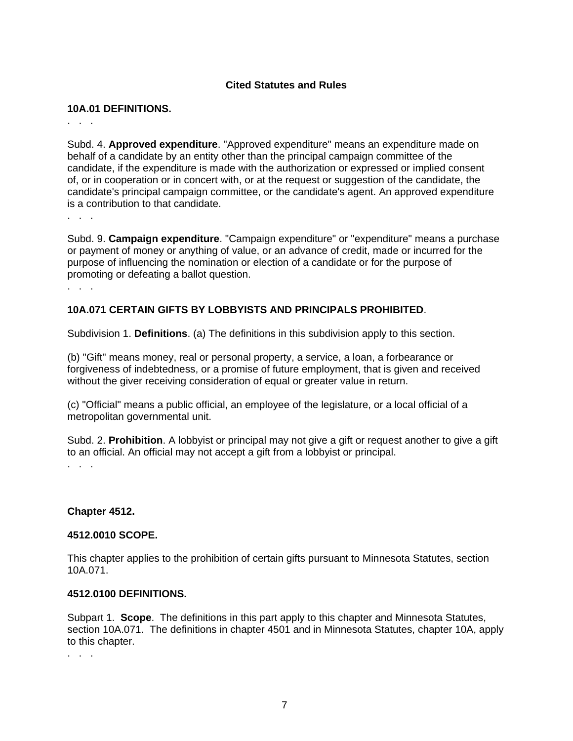## **Cited Statutes and Rules**

#### **10A.01 DEFINITIONS.**

. . .

Subd. 4. **Approved expenditure**. "Approved expenditure" means an expenditure made on behalf of a candidate by an entity other than the principal campaign committee of the candidate, if the expenditure is made with the authorization or expressed or implied consent of, or in cooperation or in concert with, or at the request or suggestion of the candidate, the candidate's principal campaign committee, or the candidate's agent. An approved expenditure is a contribution to that candidate.

. . .

Subd. 9. **Campaign expenditure**. "Campaign expenditure" or "expenditure" means a purchase or payment of money or anything of value, or an advance of credit, made or incurred for the purpose of influencing the nomination or election of a candidate or for the purpose of promoting or defeating a ballot question.

. . .

## **10A.071 CERTAIN GIFTS BY LOBBYISTS AND PRINCIPALS PROHIBITED**.

Subdivision 1. **Definitions**. (a) The definitions in this subdivision apply to this section.

(b) "Gift" means money, real or personal property, a service, a loan, a forbearance or forgiveness of indebtedness, or a promise of future employment, that is given and received without the giver receiving consideration of equal or greater value in return.

(c) "Official" means a public official, an employee of the legislature, or a local official of a metropolitan governmental unit.

Subd. 2. **Prohibition**. A lobbyist or principal may not give a gift or request another to give a gift to an official. An official may not accept a gift from a lobbyist or principal. . . .

#### **Chapter 4512.**

#### **4512.0010 SCOPE.**

This chapter applies to the prohibition of certain gifts pursuant to Minnesota Statutes, section 10A.071.

#### **4512.0100 DEFINITIONS.**

Subpart 1. **Scope**. The definitions in this part apply to this chapter and Minnesota Statutes, section 10A.071. The definitions in chapter 4501 and in Minnesota Statutes, chapter 10A, apply to this chapter.

. . .